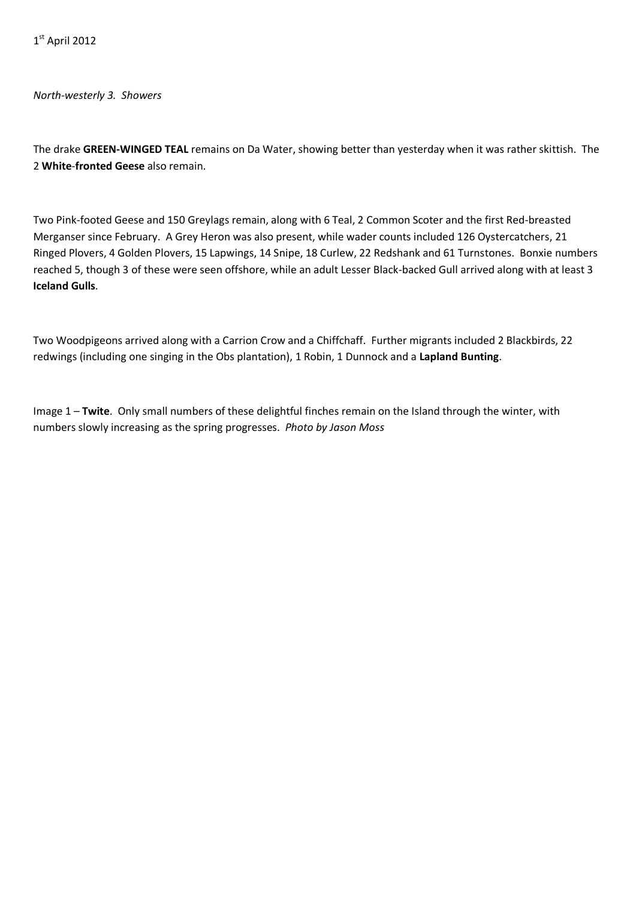*North-westerly 3. Showers*

The drake **GREEN-WINGED TEAL** remains on Da Water, showing better than yesterday when it was rather skittish. The 2 **White**-**fronted Geese** also remain.

Two Pink-footed Geese and 150 Greylags remain, along with 6 Teal, 2 Common Scoter and the first Red-breasted Merganser since February. A Grey Heron was also present, while wader counts included 126 Oystercatchers, 21 Ringed Plovers, 4 Golden Plovers, 15 Lapwings, 14 Snipe, 18 Curlew, 22 Redshank and 61 Turnstones. Bonxie numbers reached 5, though 3 of these were seen offshore, while an adult Lesser Black-backed Gull arrived along with at least 3 **Iceland Gulls**.

Two Woodpigeons arrived along with a Carrion Crow and a Chiffchaff. Further migrants included 2 Blackbirds, 22 redwings (including one singing in the Obs plantation), 1 Robin, 1 Dunnock and a **Lapland Bunting**.

Image 1 – **Twite**. Only small numbers of these delightful finches remain on the Island through the winter, with numbers slowly increasing as the spring progresses. *Photo by Jason Moss*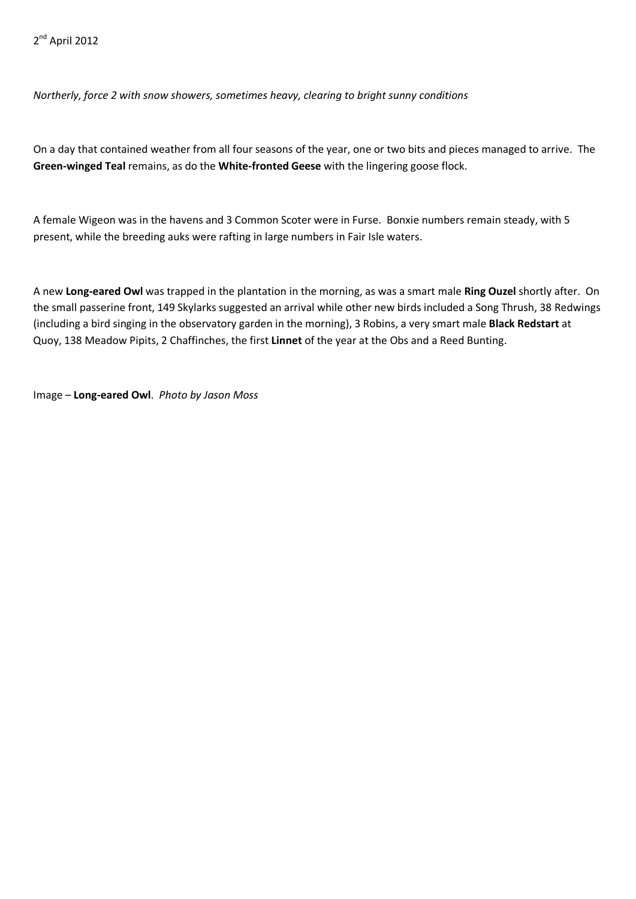*Northerly, force 2 with snow showers, sometimes heavy, clearing to bright sunny conditions*

On a day that contained weather from all four seasons of the year, one or two bits and pieces managed to arrive. The **Green-winged Teal** remains, as do the **White-fronted Geese** with the lingering goose flock.

A female Wigeon was in the havens and 3 Common Scoter were in Furse. Bonxie numbers remain steady, with 5 present, while the breeding auks were rafting in large numbers in Fair Isle waters.

A new **Long-eared Owl** was trapped in the plantation in the morning, as was a smart male **Ring Ouzel** shortly after. On the small passerine front, 149 Skylarks suggested an arrival while other new birds included a Song Thrush, 38 Redwings (including a bird singing in the observatory garden in the morning), 3 Robins, a very smart male **Black Redstart** at Quoy, 138 Meadow Pipits, 2 Chaffinches, the first **Linnet** of the year at the Obs and a Reed Bunting.

Image – **Long-eared Owl**. *Photo by Jason Moss*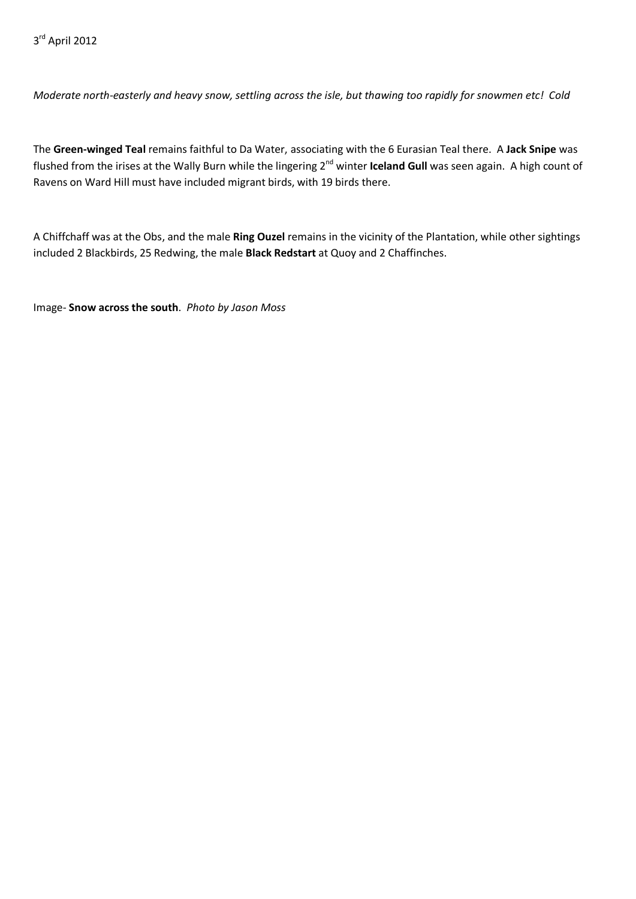*Moderate north-easterly and heavy snow, settling across the isle, but thawing too rapidly for snowmen etc! Cold*

The **Green-winged Teal** remains faithful to Da Water, associating with the 6 Eurasian Teal there. A **Jack Snipe** was flushed from the irises at the Wally Burn while the lingering 2<sup>nd</sup> winter **Iceland Gull** was seen again. A high count of Ravens on Ward Hill must have included migrant birds, with 19 birds there.

A Chiffchaff was at the Obs, and the male **Ring Ouzel** remains in the vicinity of the Plantation, while other sightings included 2 Blackbirds, 25 Redwing, the male **Black Redstart** at Quoy and 2 Chaffinches.

Image- **Snow across the south**. *Photo by Jason Moss*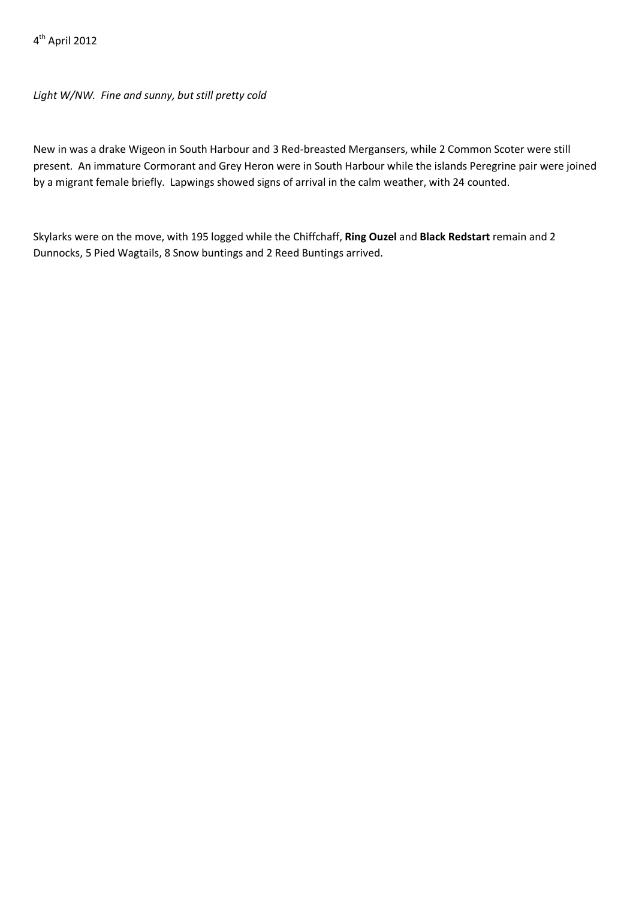4th April 2012

*Light W/NW. Fine and sunny, but still pretty cold*

New in was a drake Wigeon in South Harbour and 3 Red-breasted Mergansers, while 2 Common Scoter were still present. An immature Cormorant and Grey Heron were in South Harbour while the islands Peregrine pair were joined by a migrant female briefly. Lapwings showed signs of arrival in the calm weather, with 24 counted.

Skylarks were on the move, with 195 logged while the Chiffchaff, **Ring Ouzel** and **Black Redstart** remain and 2 Dunnocks, 5 Pied Wagtails, 8 Snow buntings and 2 Reed Buntings arrived.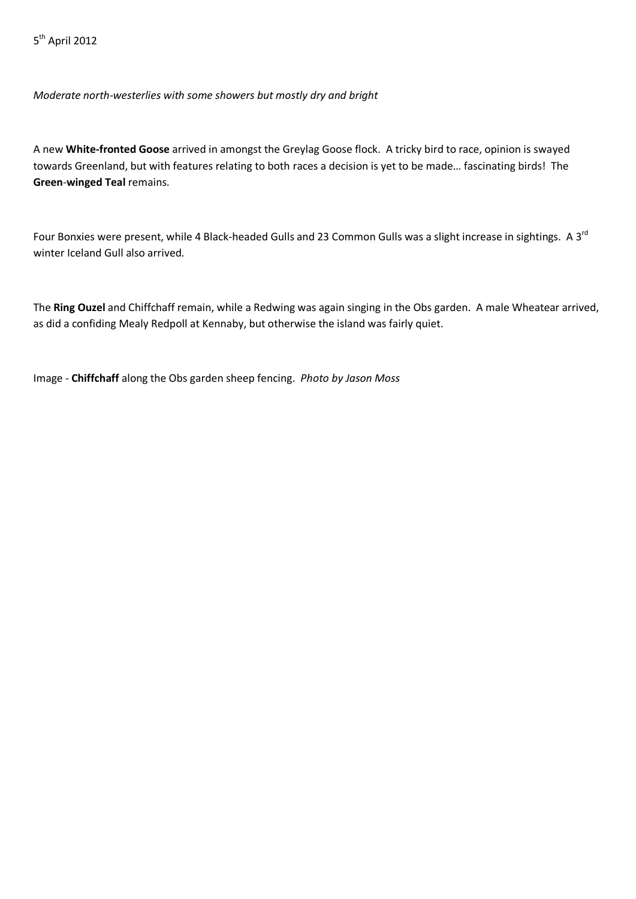*Moderate north-westerlies with some showers but mostly dry and bright*

A new **White-fronted Goose** arrived in amongst the Greylag Goose flock. A tricky bird to race, opinion is swayed towards Greenland, but with features relating to both races a decision is yet to be made… fascinating birds! The **Green**-**winged Teal** remains.

Four Bonxies were present, while 4 Black-headed Gulls and 23 Common Gulls was a slight increase in sightings. A 3<sup>rd</sup> winter Iceland Gull also arrived.

The **Ring Ouzel** and Chiffchaff remain, while a Redwing was again singing in the Obs garden. A male Wheatear arrived, as did a confiding Mealy Redpoll at Kennaby, but otherwise the island was fairly quiet.

Image - **Chiffchaff** along the Obs garden sheep fencing. *Photo by Jason Moss*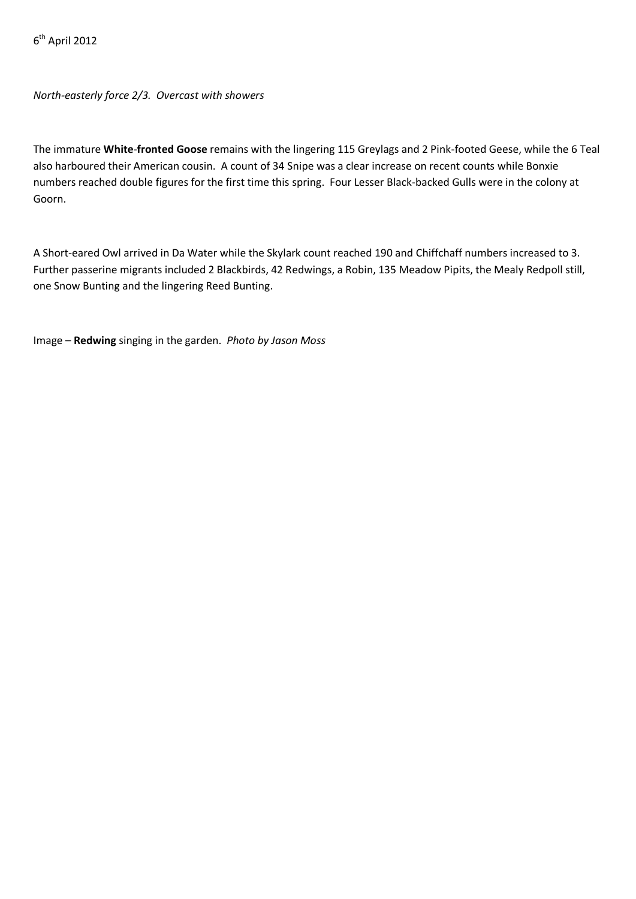$6<sup>th</sup>$  April 2012

*North-easterly force 2/3. Overcast with showers*

The immature **White**-**fronted Goose** remains with the lingering 115 Greylags and 2 Pink-footed Geese, while the 6 Teal also harboured their American cousin. A count of 34 Snipe was a clear increase on recent counts while Bonxie numbers reached double figures for the first time this spring. Four Lesser Black-backed Gulls were in the colony at Goorn.

A Short-eared Owl arrived in Da Water while the Skylark count reached 190 and Chiffchaff numbers increased to 3. Further passerine migrants included 2 Blackbirds, 42 Redwings, a Robin, 135 Meadow Pipits, the Mealy Redpoll still, one Snow Bunting and the lingering Reed Bunting.

Image – **Redwing** singing in the garden. *Photo by Jason Moss*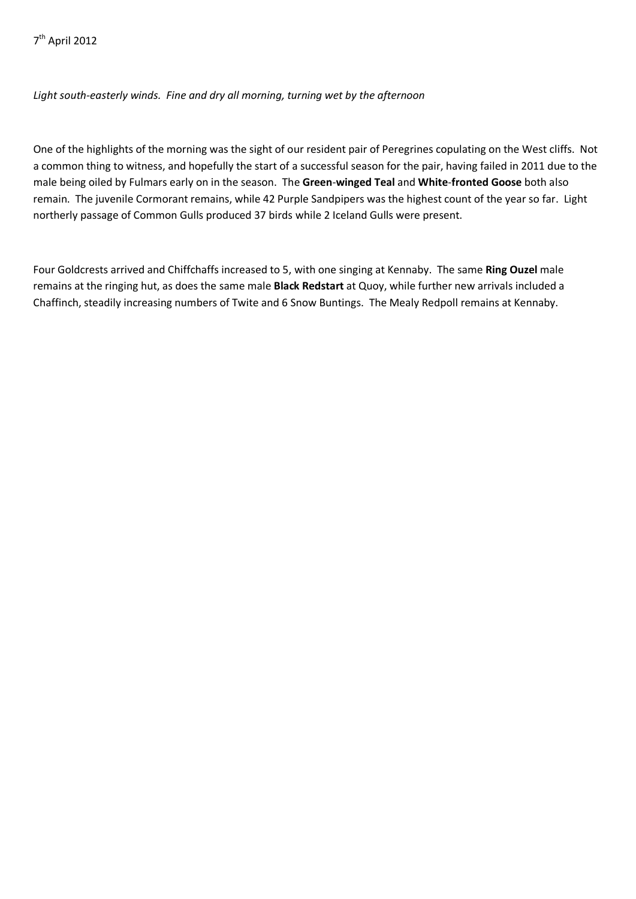# *Light south-easterly winds. Fine and dry all morning, turning wet by the afternoon*

One of the highlights of the morning was the sight of our resident pair of Peregrines copulating on the West cliffs. Not a common thing to witness, and hopefully the start of a successful season for the pair, having failed in 2011 due to the male being oiled by Fulmars early on in the season. The **Green**-**winged Teal** and **White**-**fronted Goose** both also remain. The juvenile Cormorant remains, while 42 Purple Sandpipers was the highest count of the year so far. Light northerly passage of Common Gulls produced 37 birds while 2 Iceland Gulls were present.

Four Goldcrests arrived and Chiffchaffs increased to 5, with one singing at Kennaby. The same **Ring Ouzel** male remains at the ringing hut, as does the same male **Black Redstart** at Quoy, while further new arrivals included a Chaffinch, steadily increasing numbers of Twite and 6 Snow Buntings. The Mealy Redpoll remains at Kennaby.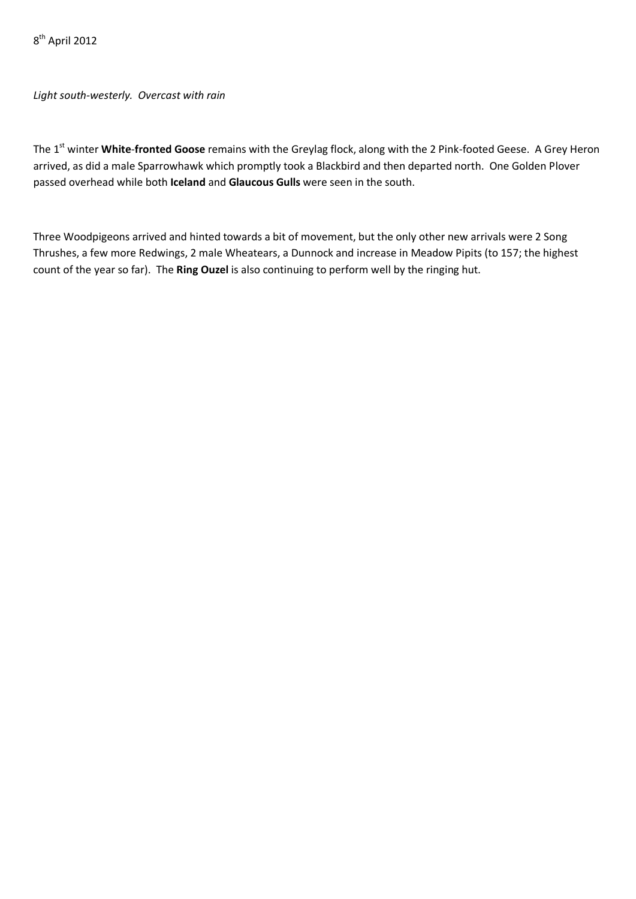*Light south-westerly. Overcast with rain*

The 1<sup>st</sup> winter **White-fronted Goose** remains with the Greylag flock, along with the 2 Pink-footed Geese. A Grey Heron arrived, as did a male Sparrowhawk which promptly took a Blackbird and then departed north. One Golden Plover passed overhead while both **Iceland** and **Glaucous Gulls** were seen in the south.

Three Woodpigeons arrived and hinted towards a bit of movement, but the only other new arrivals were 2 Song Thrushes, a few more Redwings, 2 male Wheatears, a Dunnock and increase in Meadow Pipits (to 157; the highest count of the year so far). The **Ring Ouzel** is also continuing to perform well by the ringing hut.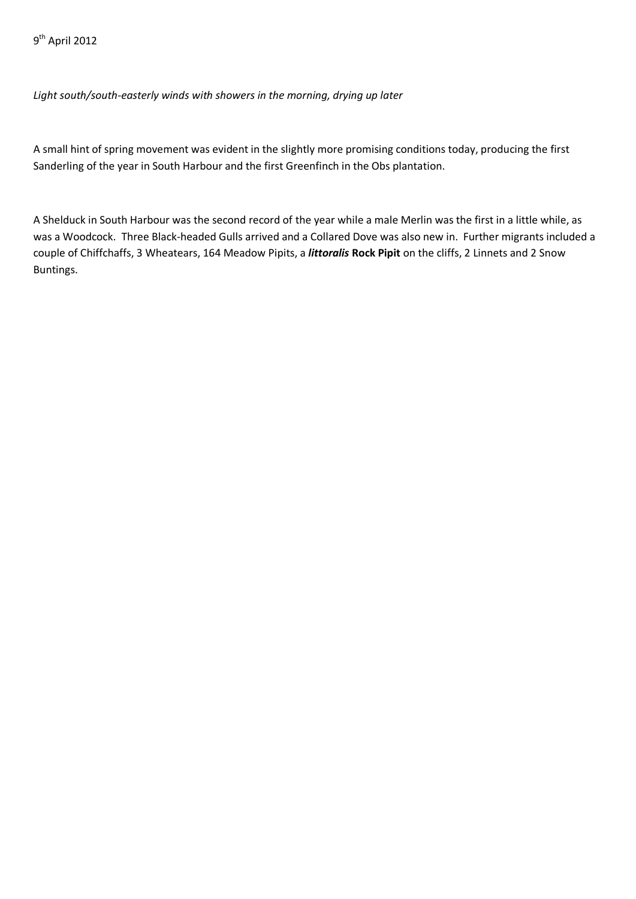*Light south/south-easterly winds with showers in the morning, drying up later*

A small hint of spring movement was evident in the slightly more promising conditions today, producing the first Sanderling of the year in South Harbour and the first Greenfinch in the Obs plantation.

A Shelduck in South Harbour was the second record of the year while a male Merlin was the first in a little while, as was a Woodcock. Three Black-headed Gulls arrived and a Collared Dove was also new in. Further migrants included a couple of Chiffchaffs, 3 Wheatears, 164 Meadow Pipits, a *littoralis* **Rock Pipit** on the cliffs, 2 Linnets and 2 Snow Buntings.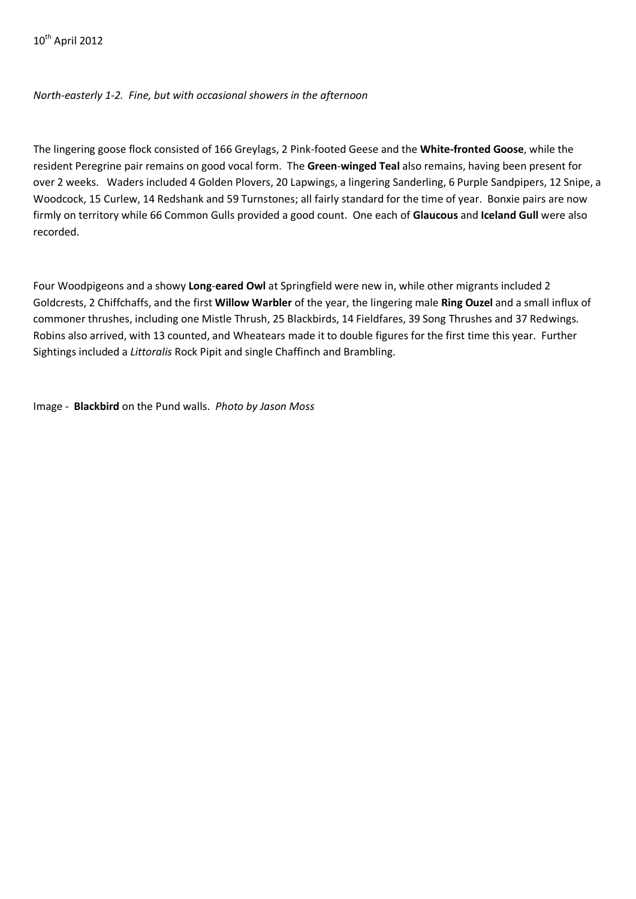## *North-easterly 1-2. Fine, but with occasional showers in the afternoon*

The lingering goose flock consisted of 166 Greylags, 2 Pink-footed Geese and the **White-fronted Goose**, while the resident Peregrine pair remains on good vocal form. The **Green**-**winged Teal** also remains, having been present for over 2 weeks. Waders included 4 Golden Plovers, 20 Lapwings, a lingering Sanderling, 6 Purple Sandpipers, 12 Snipe, a Woodcock, 15 Curlew, 14 Redshank and 59 Turnstones; all fairly standard for the time of year. Bonxie pairs are now firmly on territory while 66 Common Gulls provided a good count. One each of **Glaucous** and **Iceland Gull** were also recorded.

Four Woodpigeons and a showy **Long**-**eared Owl** at Springfield were new in, while other migrants included 2 Goldcrests, 2 Chiffchaffs, and the first **Willow Warbler** of the year, the lingering male **Ring Ouzel** and a small influx of commoner thrushes, including one Mistle Thrush, 25 Blackbirds, 14 Fieldfares, 39 Song Thrushes and 37 Redwings. Robins also arrived, with 13 counted, and Wheatears made it to double figures for the first time this year. Further Sightings included a *Littoralis* Rock Pipit and single Chaffinch and Brambling.

Image - **Blackbird** on the Pund walls. *Photo by Jason Moss*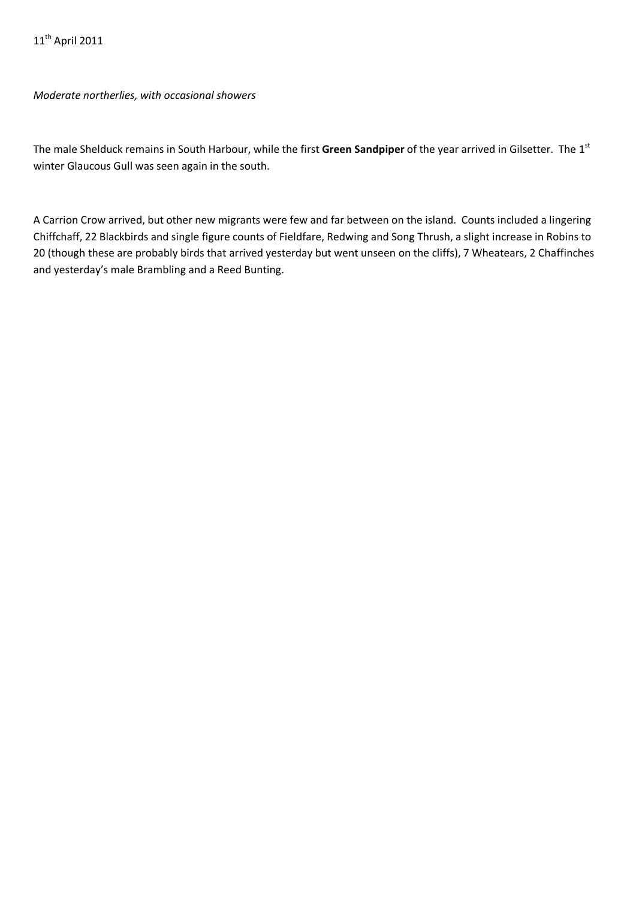*Moderate northerlies, with occasional showers*

The male Shelduck remains in South Harbour, while the first **Green Sandpiper** of the year arrived in Gilsetter. The 1st winter Glaucous Gull was seen again in the south.

A Carrion Crow arrived, but other new migrants were few and far between on the island. Counts included a lingering Chiffchaff, 22 Blackbirds and single figure counts of Fieldfare, Redwing and Song Thrush, a slight increase in Robins to 20 (though these are probably birds that arrived yesterday but went unseen on the cliffs), 7 Wheatears, 2 Chaffinches and yesterday's male Brambling and a Reed Bunting.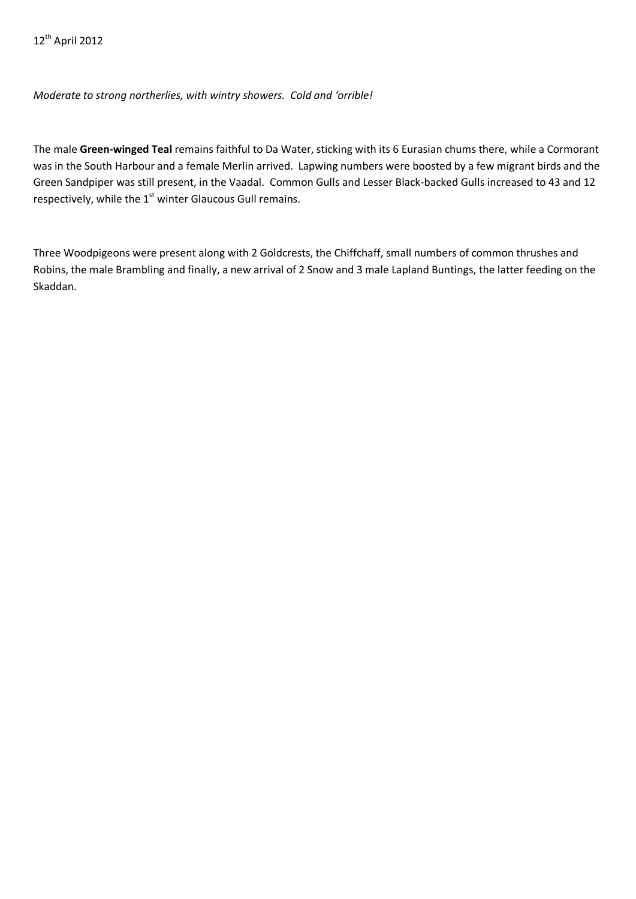## *Moderate to strong northerlies, with wintry showers. Cold and 'orrible!*

The male **Green-winged Teal** remains faithful to Da Water, sticking with its 6 Eurasian chums there, while a Cormorant was in the South Harbour and a female Merlin arrived. Lapwing numbers were boosted by a few migrant birds and the Green Sandpiper was still present, in the Vaadal. Common Gulls and Lesser Black-backed Gulls increased to 43 and 12 respectively, while the  $1<sup>st</sup>$  winter Glaucous Gull remains.

Three Woodpigeons were present along with 2 Goldcrests, the Chiffchaff, small numbers of common thrushes and Robins, the male Brambling and finally, a new arrival of 2 Snow and 3 male Lapland Buntings, the latter feeding on the Skaddan.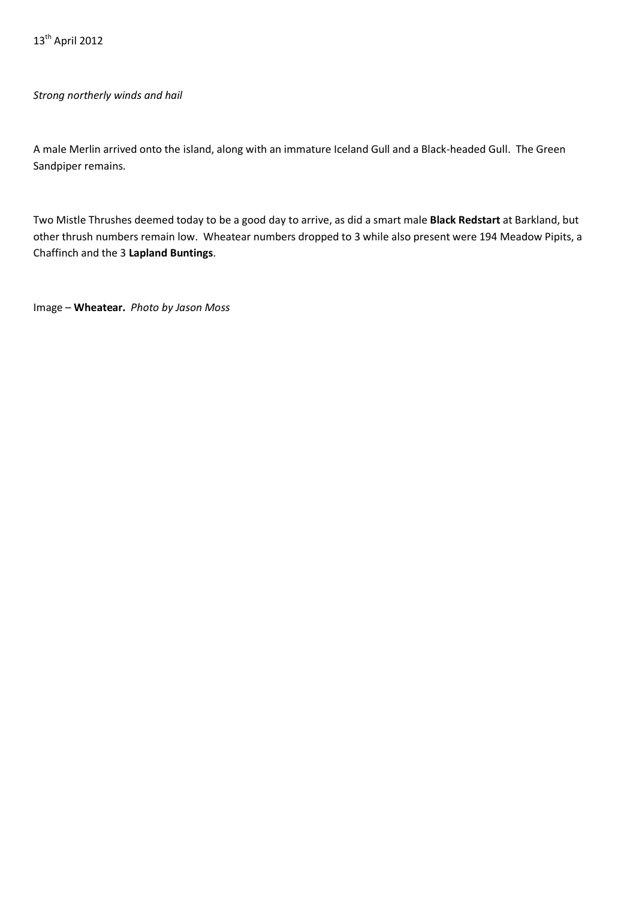### *Strong northerly winds and hail*

A male Merlin arrived onto the island, along with an immature Iceland Gull and a Black-headed Gull. The Green Sandpiper remains.

Two Mistle Thrushes deemed today to be a good day to arrive, as did a smart male **Black Redstart** at Barkland, but other thrush numbers remain low. Wheatear numbers dropped to 3 while also present were 194 Meadow Pipits, a Chaffinch and the 3 **Lapland Buntings**.

Image – **Wheatear.** *Photo by Jason Moss*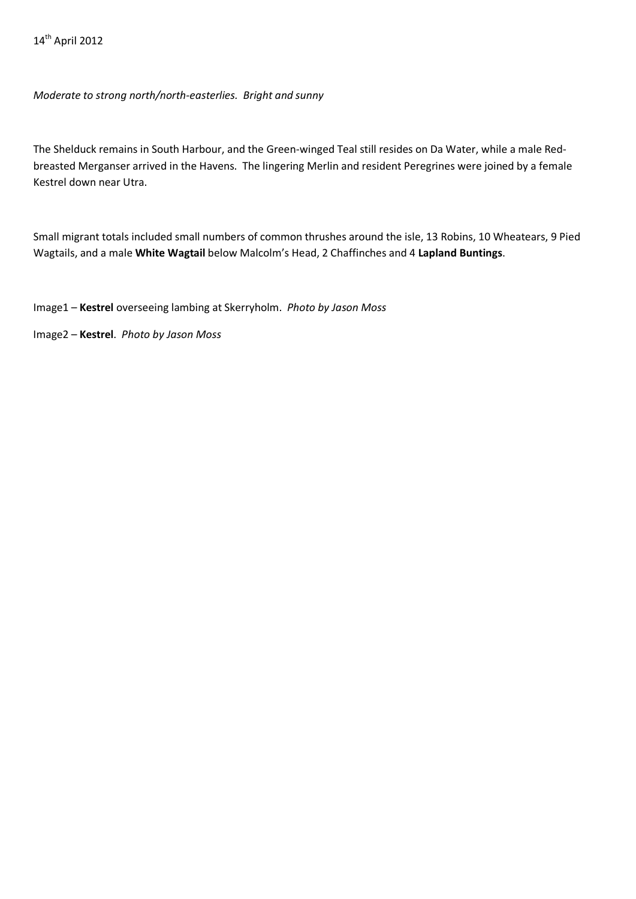*Moderate to strong north/north-easterlies. Bright and sunny*

The Shelduck remains in South Harbour, and the Green-winged Teal still resides on Da Water, while a male Redbreasted Merganser arrived in the Havens. The lingering Merlin and resident Peregrines were joined by a female Kestrel down near Utra.

Small migrant totals included small numbers of common thrushes around the isle, 13 Robins, 10 Wheatears, 9 Pied Wagtails, and a male **White Wagtail** below Malcolm's Head, 2 Chaffinches and 4 **Lapland Buntings**.

Image1 – **Kestrel** overseeing lambing at Skerryholm. *Photo by Jason Moss*

Image2 – **Kestrel**. *Photo by Jason Moss*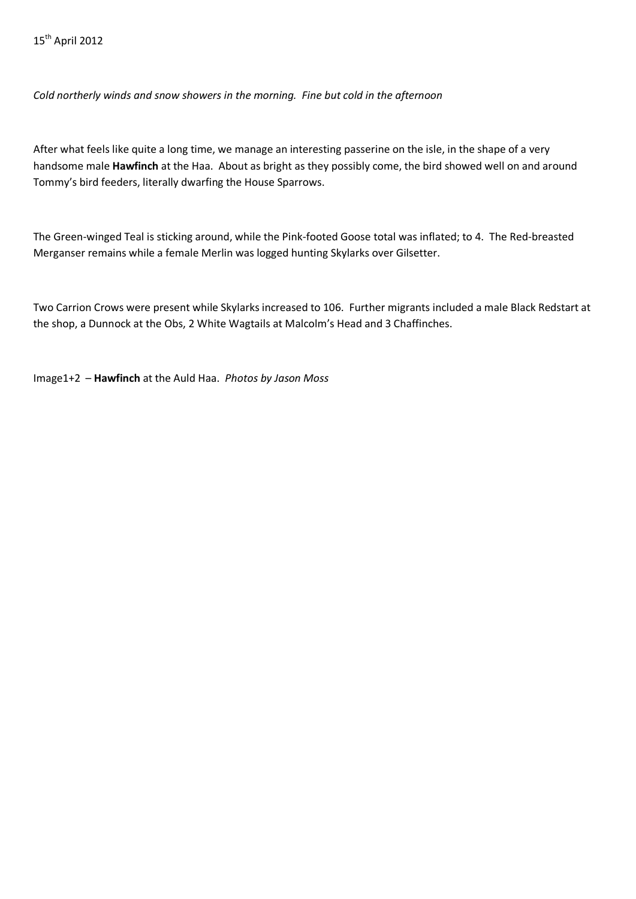*Cold northerly winds and snow showers in the morning. Fine but cold in the afternoon*

After what feels like quite a long time, we manage an interesting passerine on the isle, in the shape of a very handsome male **Hawfinch** at the Haa. About as bright as they possibly come, the bird showed well on and around Tommy's bird feeders, literally dwarfing the House Sparrows.

The Green-winged Teal is sticking around, while the Pink-footed Goose total was inflated; to 4. The Red-breasted Merganser remains while a female Merlin was logged hunting Skylarks over Gilsetter.

Two Carrion Crows were present while Skylarks increased to 106. Further migrants included a male Black Redstart at the shop, a Dunnock at the Obs, 2 White Wagtails at Malcolm's Head and 3 Chaffinches.

Image1+2 – **Hawfinch** at the Auld Haa. *Photos by Jason Moss*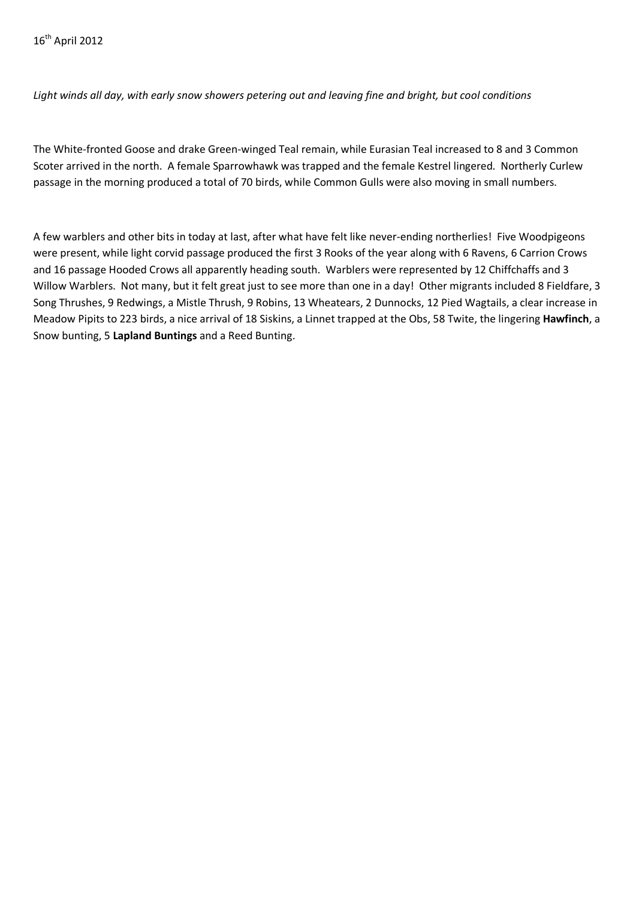*Light winds all day, with early snow showers petering out and leaving fine and bright, but cool conditions*

The White-fronted Goose and drake Green-winged Teal remain, while Eurasian Teal increased to 8 and 3 Common Scoter arrived in the north. A female Sparrowhawk was trapped and the female Kestrel lingered. Northerly Curlew passage in the morning produced a total of 70 birds, while Common Gulls were also moving in small numbers.

A few warblers and other bits in today at last, after what have felt like never-ending northerlies! Five Woodpigeons were present, while light corvid passage produced the first 3 Rooks of the year along with 6 Ravens, 6 Carrion Crows and 16 passage Hooded Crows all apparently heading south. Warblers were represented by 12 Chiffchaffs and 3 Willow Warblers. Not many, but it felt great just to see more than one in a day! Other migrants included 8 Fieldfare, 3 Song Thrushes, 9 Redwings, a Mistle Thrush, 9 Robins, 13 Wheatears, 2 Dunnocks, 12 Pied Wagtails, a clear increase in Meadow Pipits to 223 birds, a nice arrival of 18 Siskins, a Linnet trapped at the Obs, 58 Twite, the lingering **Hawfinch**, a Snow bunting, 5 **Lapland Buntings** and a Reed Bunting.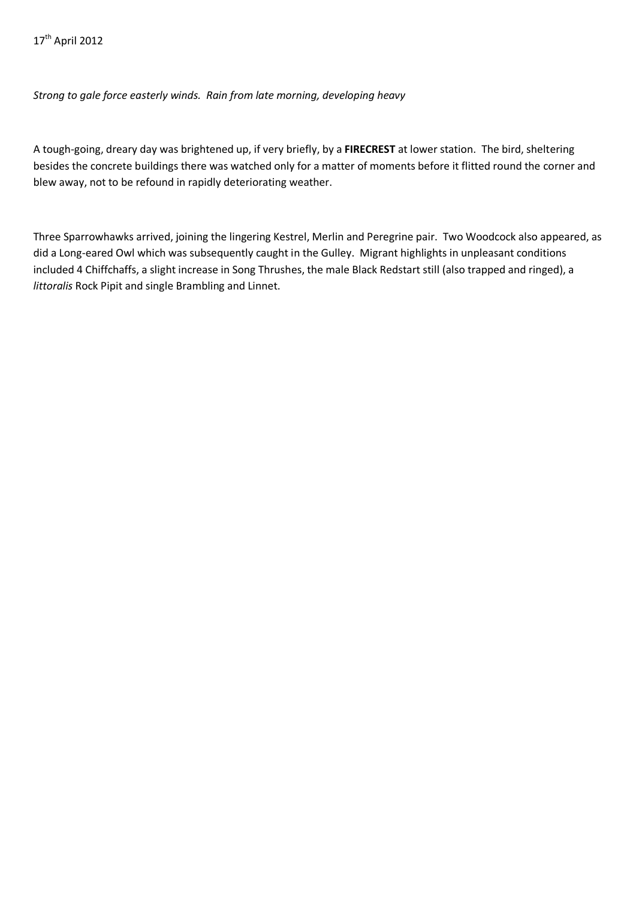*Strong to gale force easterly winds. Rain from late morning, developing heavy*

A tough-going, dreary day was brightened up, if very briefly, by a **FIRECREST** at lower station. The bird, sheltering besides the concrete buildings there was watched only for a matter of moments before it flitted round the corner and blew away, not to be refound in rapidly deteriorating weather.

Three Sparrowhawks arrived, joining the lingering Kestrel, Merlin and Peregrine pair. Two Woodcock also appeared, as did a Long-eared Owl which was subsequently caught in the Gulley. Migrant highlights in unpleasant conditions included 4 Chiffchaffs, a slight increase in Song Thrushes, the male Black Redstart still (also trapped and ringed), a *littoralis* Rock Pipit and single Brambling and Linnet.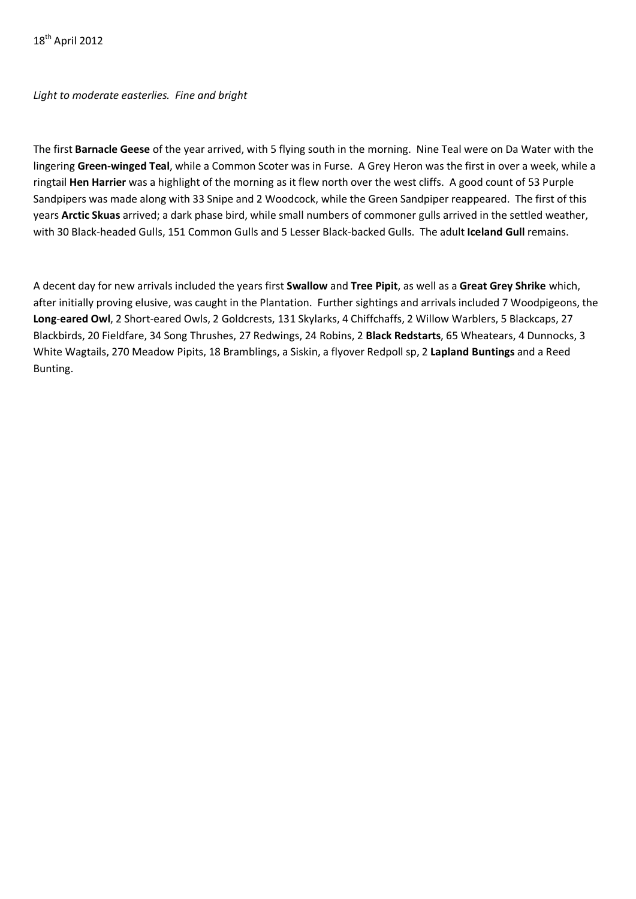*Light to moderate easterlies. Fine and bright*

The first **Barnacle Geese** of the year arrived, with 5 flying south in the morning. Nine Teal were on Da Water with the lingering **Green-winged Teal**, while a Common Scoter was in Furse. A Grey Heron was the first in over a week, while a ringtail **Hen Harrier** was a highlight of the morning as it flew north over the west cliffs. A good count of 53 Purple Sandpipers was made along with 33 Snipe and 2 Woodcock, while the Green Sandpiper reappeared. The first of this years **Arctic Skuas** arrived; a dark phase bird, while small numbers of commoner gulls arrived in the settled weather, with 30 Black-headed Gulls, 151 Common Gulls and 5 Lesser Black-backed Gulls. The adult **Iceland Gull** remains.

A decent day for new arrivals included the years first **Swallow** and **Tree Pipit**, as well as a **Great Grey Shrike** which, after initially proving elusive, was caught in the Plantation. Further sightings and arrivals included 7 Woodpigeons, the **Long**-**eared Owl**, 2 Short-eared Owls, 2 Goldcrests, 131 Skylarks, 4 Chiffchaffs, 2 Willow Warblers, 5 Blackcaps, 27 Blackbirds, 20 Fieldfare, 34 Song Thrushes, 27 Redwings, 24 Robins, 2 **Black Redstarts**, 65 Wheatears, 4 Dunnocks, 3 White Wagtails, 270 Meadow Pipits, 18 Bramblings, a Siskin, a flyover Redpoll sp, 2 **Lapland Buntings** and a Reed Bunting.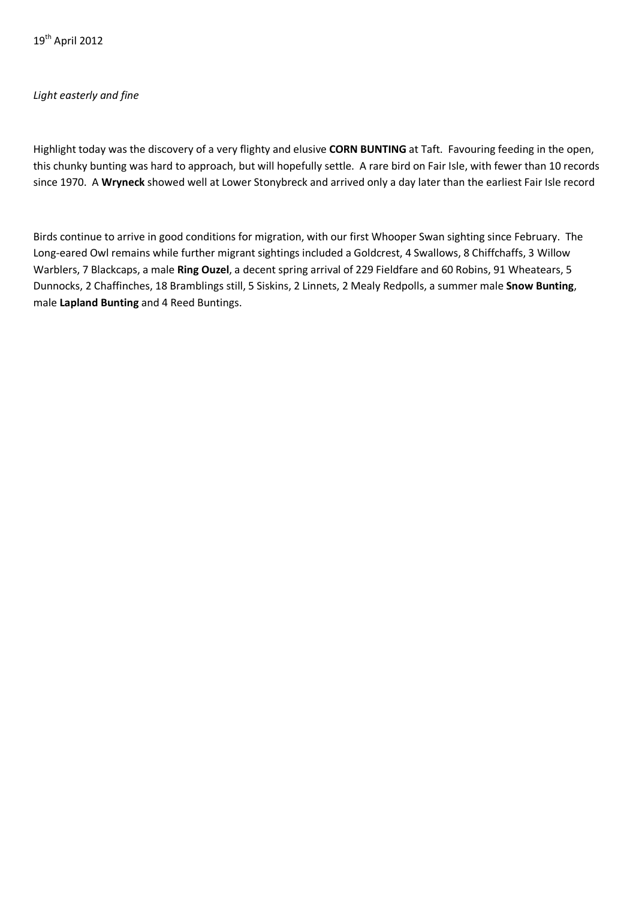19th April 2012

## *Light easterly and fine*

Highlight today was the discovery of a very flighty and elusive **CORN BUNTING** at Taft. Favouring feeding in the open, this chunky bunting was hard to approach, but will hopefully settle. A rare bird on Fair Isle, with fewer than 10 records since 1970. A **Wryneck** showed well at Lower Stonybreck and arrived only a day later than the earliest Fair Isle record

Birds continue to arrive in good conditions for migration, with our first Whooper Swan sighting since February. The Long-eared Owl remains while further migrant sightings included a Goldcrest, 4 Swallows, 8 Chiffchaffs, 3 Willow Warblers, 7 Blackcaps, a male **Ring Ouzel**, a decent spring arrival of 229 Fieldfare and 60 Robins, 91 Wheatears, 5 Dunnocks, 2 Chaffinches, 18 Bramblings still, 5 Siskins, 2 Linnets, 2 Mealy Redpolls, a summer male **Snow Bunting**, male **Lapland Bunting** and 4 Reed Buntings.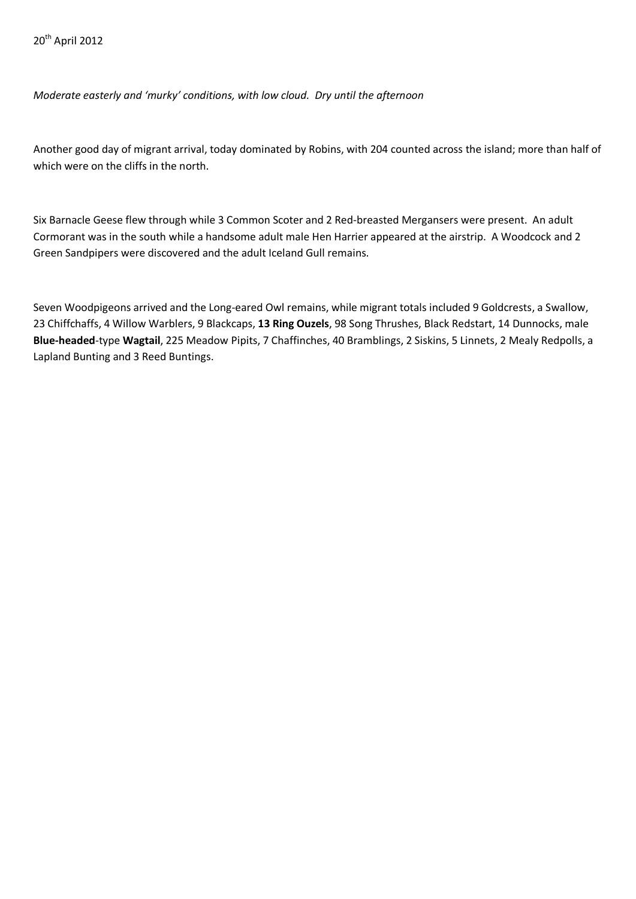*Moderate easterly and 'murky' conditions, with low cloud. Dry until the afternoon*

Another good day of migrant arrival, today dominated by Robins, with 204 counted across the island; more than half of which were on the cliffs in the north.

Six Barnacle Geese flew through while 3 Common Scoter and 2 Red-breasted Mergansers were present. An adult Cormorant was in the south while a handsome adult male Hen Harrier appeared at the airstrip. A Woodcock and 2 Green Sandpipers were discovered and the adult Iceland Gull remains.

Seven Woodpigeons arrived and the Long-eared Owl remains, while migrant totals included 9 Goldcrests, a Swallow, 23 Chiffchaffs, 4 Willow Warblers, 9 Blackcaps, **13 Ring Ouzels**, 98 Song Thrushes, Black Redstart, 14 Dunnocks, male **Blue-headed**-type **Wagtail**, 225 Meadow Pipits, 7 Chaffinches, 40 Bramblings, 2 Siskins, 5 Linnets, 2 Mealy Redpolls, a Lapland Bunting and 3 Reed Buntings.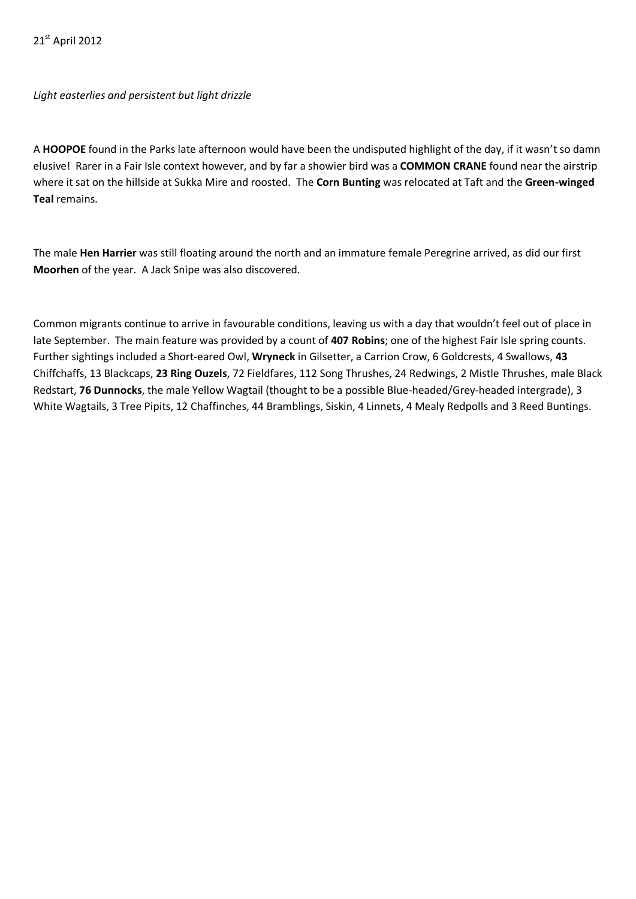21st April 2012

*Light easterlies and persistent but light drizzle*

A **HOOPOE** found in the Parks late afternoon would have been the undisputed highlight of the day, if it wasn't so damn elusive! Rarer in a Fair Isle context however, and by far a showier bird was a **COMMON CRANE** found near the airstrip where it sat on the hillside at Sukka Mire and roosted. The **Corn Bunting** was relocated at Taft and the **Green-winged Teal** remains.

The male **Hen Harrier** was still floating around the north and an immature female Peregrine arrived, as did our first **Moorhen** of the year. A Jack Snipe was also discovered.

Common migrants continue to arrive in favourable conditions, leaving us with a day that wouldn't feel out of place in late September. The main feature was provided by a count of **407 Robins**; one of the highest Fair Isle spring counts. Further sightings included a Short-eared Owl, **Wryneck** in Gilsetter, a Carrion Crow, 6 Goldcrests, 4 Swallows, **43**  Chiffchaffs, 13 Blackcaps, **23 Ring Ouzels**, 72 Fieldfares, 112 Song Thrushes, 24 Redwings, 2 Mistle Thrushes, male Black Redstart, **76 Dunnocks**, the male Yellow Wagtail (thought to be a possible Blue-headed/Grey-headed intergrade), 3 White Wagtails, 3 Tree Pipits, 12 Chaffinches, 44 Bramblings, Siskin, 4 Linnets, 4 Mealy Redpolls and 3 Reed Buntings.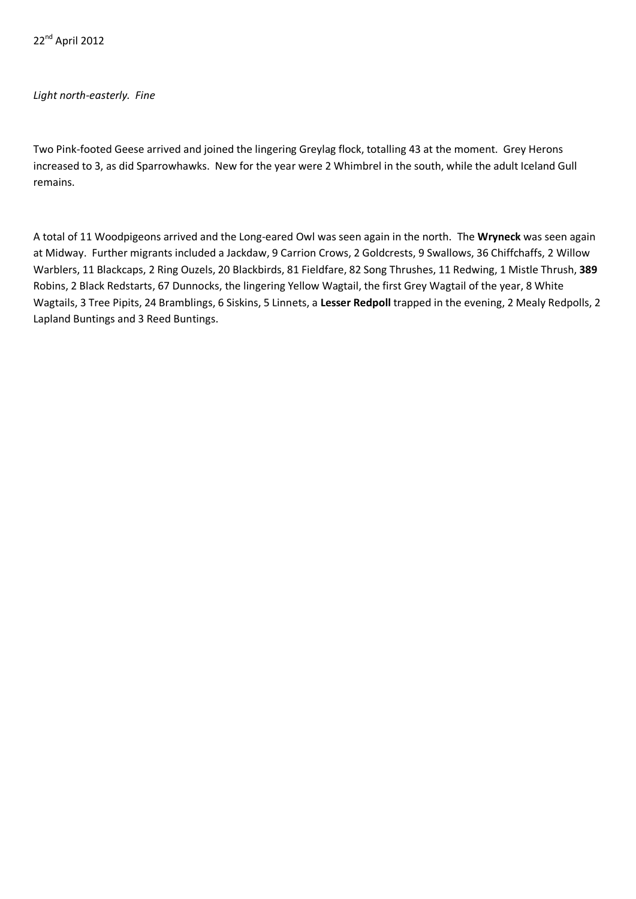22<sup>nd</sup> April 2012

#### *Light north-easterly. Fine*

Two Pink-footed Geese arrived and joined the lingering Greylag flock, totalling 43 at the moment. Grey Herons increased to 3, as did Sparrowhawks. New for the year were 2 Whimbrel in the south, while the adult Iceland Gull remains.

A total of 11 Woodpigeons arrived and the Long-eared Owl was seen again in the north. The **Wryneck** was seen again at Midway. Further migrants included a Jackdaw, 9 Carrion Crows, 2 Goldcrests, 9 Swallows, 36 Chiffchaffs, 2 Willow Warblers, 11 Blackcaps, 2 Ring Ouzels, 20 Blackbirds, 81 Fieldfare, 82 Song Thrushes, 11 Redwing, 1 Mistle Thrush, **389**  Robins, 2 Black Redstarts, 67 Dunnocks, the lingering Yellow Wagtail, the first Grey Wagtail of the year, 8 White Wagtails, 3 Tree Pipits, 24 Bramblings, 6 Siskins, 5 Linnets, a **Lesser Redpoll** trapped in the evening, 2 Mealy Redpolls, 2 Lapland Buntings and 3 Reed Buntings.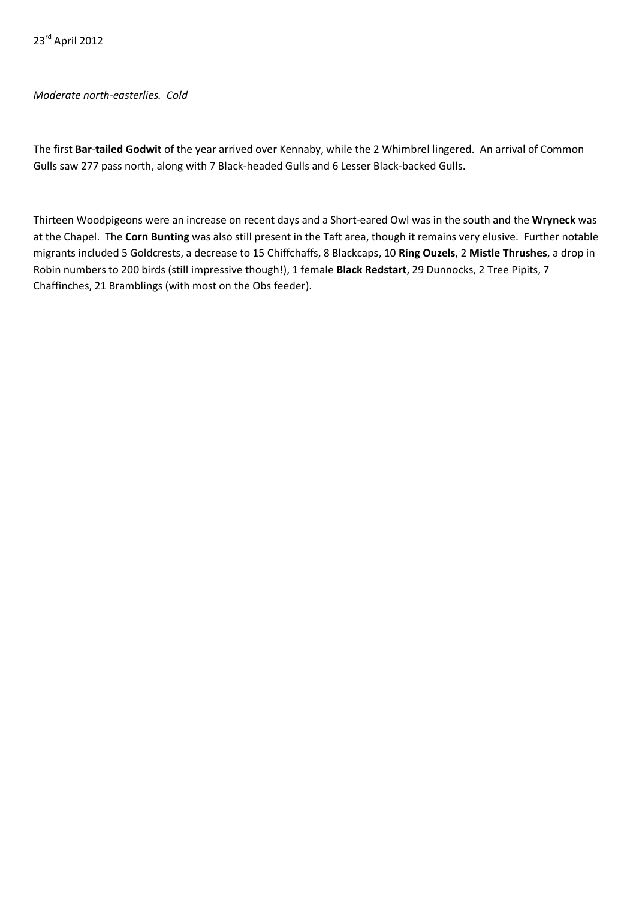### *Moderate north-easterlies. Cold*

The first **Bar**-**tailed Godwit** of the year arrived over Kennaby, while the 2 Whimbrel lingered. An arrival of Common Gulls saw 277 pass north, along with 7 Black-headed Gulls and 6 Lesser Black-backed Gulls.

Thirteen Woodpigeons were an increase on recent days and a Short-eared Owl was in the south and the **Wryneck** was at the Chapel. The **Corn Bunting** was also still present in the Taft area, though it remains very elusive. Further notable migrants included 5 Goldcrests, a decrease to 15 Chiffchaffs, 8 Blackcaps, 10 **Ring Ouzels**, 2 **Mistle Thrushes**, a drop in Robin numbers to 200 birds (still impressive though!), 1 female **Black Redstart**, 29 Dunnocks, 2 Tree Pipits, 7 Chaffinches, 21 Bramblings (with most on the Obs feeder).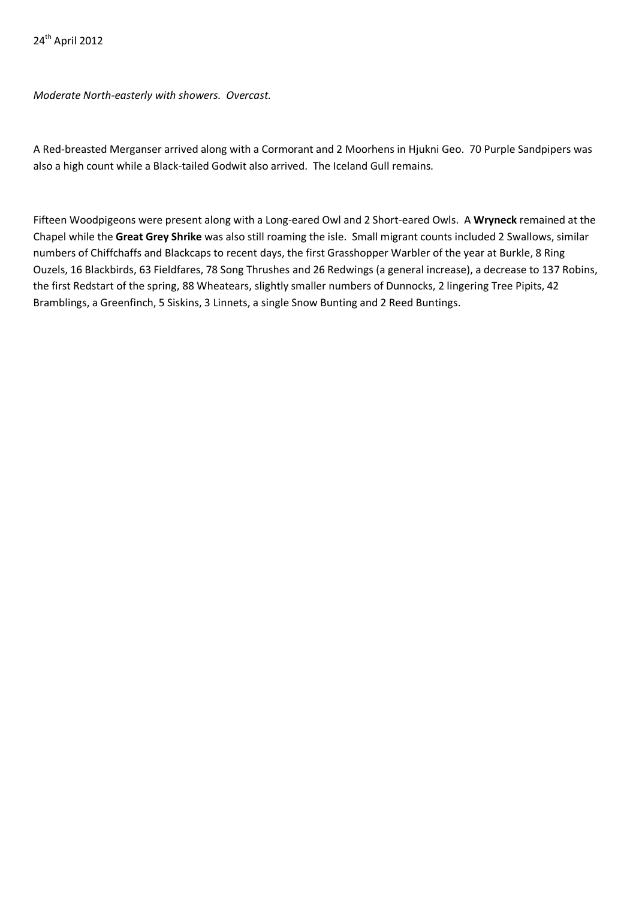*Moderate North-easterly with showers. Overcast.*

A Red-breasted Merganser arrived along with a Cormorant and 2 Moorhens in Hjukni Geo. 70 Purple Sandpipers was also a high count while a Black-tailed Godwit also arrived. The Iceland Gull remains.

Fifteen Woodpigeons were present along with a Long-eared Owl and 2 Short-eared Owls. A **Wryneck** remained at the Chapel while the **Great Grey Shrike** was also still roaming the isle. Small migrant counts included 2 Swallows, similar numbers of Chiffchaffs and Blackcaps to recent days, the first Grasshopper Warbler of the year at Burkle, 8 Ring Ouzels, 16 Blackbirds, 63 Fieldfares, 78 Song Thrushes and 26 Redwings (a general increase), a decrease to 137 Robins, the first Redstart of the spring, 88 Wheatears, slightly smaller numbers of Dunnocks, 2 lingering Tree Pipits, 42 Bramblings, a Greenfinch, 5 Siskins, 3 Linnets, a single Snow Bunting and 2 Reed Buntings.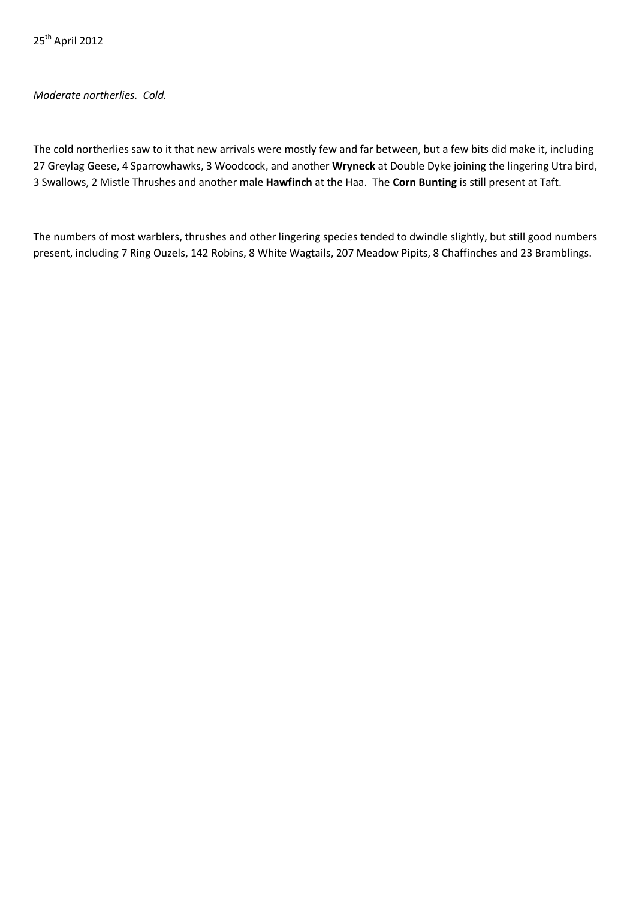*Moderate northerlies. Cold.*

The cold northerlies saw to it that new arrivals were mostly few and far between, but a few bits did make it, including 27 Greylag Geese, 4 Sparrowhawks, 3 Woodcock, and another **Wryneck** at Double Dyke joining the lingering Utra bird, 3 Swallows, 2 Mistle Thrushes and another male **Hawfinch** at the Haa. The **Corn Bunting** is still present at Taft.

The numbers of most warblers, thrushes and other lingering species tended to dwindle slightly, but still good numbers present, including 7 Ring Ouzels, 142 Robins, 8 White Wagtails, 207 Meadow Pipits, 8 Chaffinches and 23 Bramblings.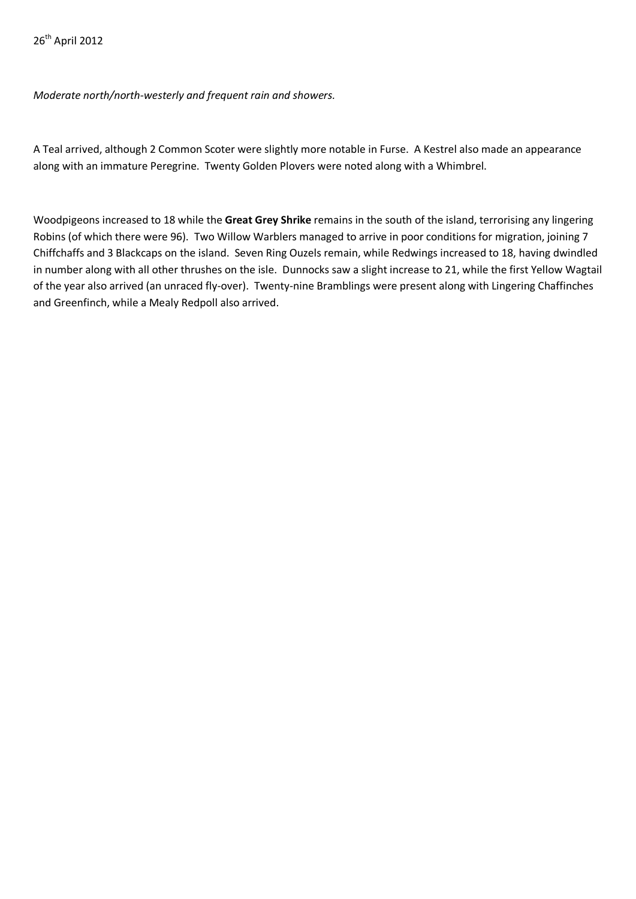*Moderate north/north-westerly and frequent rain and showers.*

A Teal arrived, although 2 Common Scoter were slightly more notable in Furse. A Kestrel also made an appearance along with an immature Peregrine. Twenty Golden Plovers were noted along with a Whimbrel.

Woodpigeons increased to 18 while the **Great Grey Shrike** remains in the south of the island, terrorising any lingering Robins (of which there were 96). Two Willow Warblers managed to arrive in poor conditions for migration, joining 7 Chiffchaffs and 3 Blackcaps on the island. Seven Ring Ouzels remain, while Redwings increased to 18, having dwindled in number along with all other thrushes on the isle. Dunnocks saw a slight increase to 21, while the first Yellow Wagtail of the year also arrived (an unraced fly-over). Twenty-nine Bramblings were present along with Lingering Chaffinches and Greenfinch, while a Mealy Redpoll also arrived.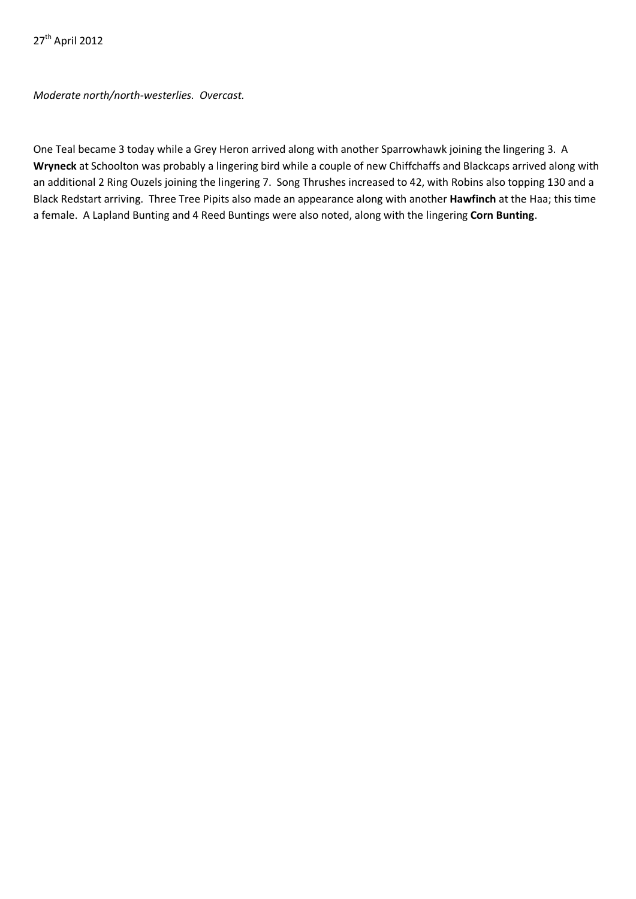*Moderate north/north-westerlies. Overcast.*

One Teal became 3 today while a Grey Heron arrived along with another Sparrowhawk joining the lingering 3. A **Wryneck** at Schoolton was probably a lingering bird while a couple of new Chiffchaffs and Blackcaps arrived along with an additional 2 Ring Ouzels joining the lingering 7. Song Thrushes increased to 42, with Robins also topping 130 and a Black Redstart arriving. Three Tree Pipits also made an appearance along with another **Hawfinch** at the Haa; this time a female. A Lapland Bunting and 4 Reed Buntings were also noted, along with the lingering **Corn Bunting**.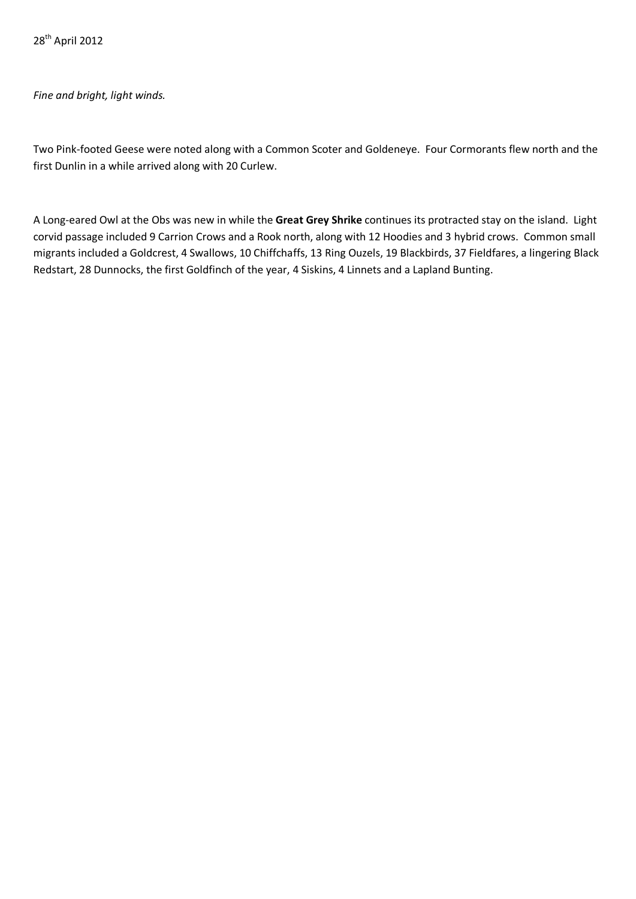# *Fine and bright, light winds.*

Two Pink-footed Geese were noted along with a Common Scoter and Goldeneye. Four Cormorants flew north and the first Dunlin in a while arrived along with 20 Curlew.

A Long-eared Owl at the Obs was new in while the **Great Grey Shrike** continues its protracted stay on the island. Light corvid passage included 9 Carrion Crows and a Rook north, along with 12 Hoodies and 3 hybrid crows. Common small migrants included a Goldcrest, 4 Swallows, 10 Chiffchaffs, 13 Ring Ouzels, 19 Blackbirds, 37 Fieldfares, a lingering Black Redstart, 28 Dunnocks, the first Goldfinch of the year, 4 Siskins, 4 Linnets and a Lapland Bunting.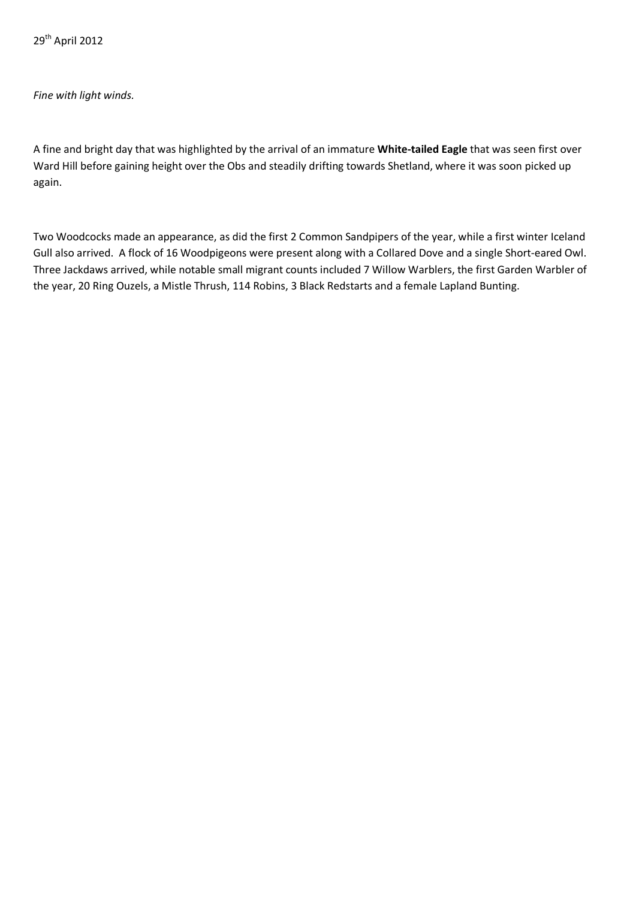29th April 2012

## *Fine with light winds.*

A fine and bright day that was highlighted by the arrival of an immature **White-tailed Eagle** that was seen first over Ward Hill before gaining height over the Obs and steadily drifting towards Shetland, where it was soon picked up again.

Two Woodcocks made an appearance, as did the first 2 Common Sandpipers of the year, while a first winter Iceland Gull also arrived. A flock of 16 Woodpigeons were present along with a Collared Dove and a single Short-eared Owl. Three Jackdaws arrived, while notable small migrant counts included 7 Willow Warblers, the first Garden Warbler of the year, 20 Ring Ouzels, a Mistle Thrush, 114 Robins, 3 Black Redstarts and a female Lapland Bunting.